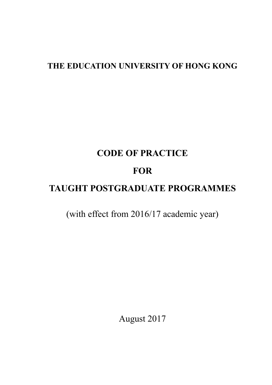# **THE EDUCATION UNIVERSITY OF HONG KONG**

# **CODE OF PRACTICE**

# **FOR**

# **TAUGHT POSTGRADUATE PROGRAMMES**

(with effect from 2016/17 academic year)

August 2017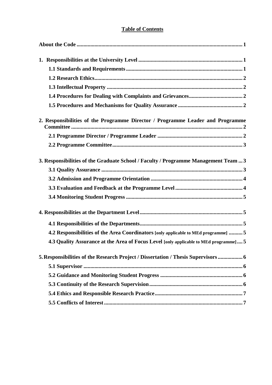# **Table of Contents**

| 2. Responsibilities of the Programme Director / Programme Leader and Programme        |  |
|---------------------------------------------------------------------------------------|--|
|                                                                                       |  |
|                                                                                       |  |
| 3. Responsibilities of the Graduate School / Faculty / Programme Management Team  3   |  |
|                                                                                       |  |
|                                                                                       |  |
|                                                                                       |  |
|                                                                                       |  |
|                                                                                       |  |
|                                                                                       |  |
| 4.2 Responsibilities of the Area Coordinators [only applicable to MEd programme] 5    |  |
| 4.3 Quality Assurance at the Area of Focus Level [only applicable to MEd programme] 5 |  |
| 5. Responsibilities of the Research Project / Dissertation / Thesis Supervisors  6    |  |
|                                                                                       |  |
|                                                                                       |  |
|                                                                                       |  |
|                                                                                       |  |
|                                                                                       |  |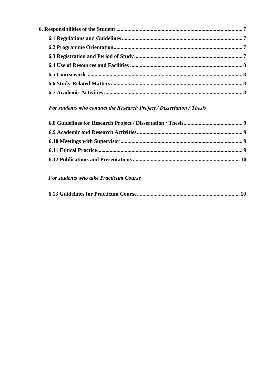# For students who conduct the Research Project / Dissertation / Thesis

# For students who take Practicum Course

|--|--|--|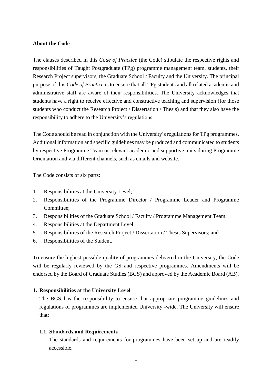#### <span id="page-3-0"></span>**About the Code**

The clauses described in this *Code of Practice* (the Code) stipulate the respective rights and responsibilities of Taught Postgraduate (TPg) programme management team, students, their Research Project supervisors, the Graduate School / Faculty and the University. The principal purpose of this *Code of Practice* is to ensure that all TPg students and all related academic and administrative staff are aware of their responsibilities. The University acknowledges that students have a right to receive effective and constructive teaching and supervision (for those students who conduct the Research Project / Dissertation / Thesis) and that they also have the responsibility to adhere to the University's regulations.

The Code should be read in conjunction with the University's regulations for TPg programmes. Additional information and specific guidelines may be produced and communicated to students by respective Programme Team or relevant academic and supportive units during Programme Orientation and via different channels, such as emails and website.

The Code consists of six parts:

- 1. Responsibilities at the University Level;
- 2. Responsibilities of the Programme Director / Programme Leader and Programme Committee;
- 3. Responsibilities of the Graduate School / Faculty / Programme Management Team;
- 4. Responsibilities at the Department Level;
- 5. Responsibilities of the Research Project / Dissertation / Thesis Supervisors; and
- 6. Responsibilities of the Student.

To ensure the highest possible quality of programmes delivered in the University, the Code will be regularly reviewed by the GS and respective programmes. Amendments will be endorsed by the Board of Graduate Studies (BGS) and approved by the Academic Board (AB).

#### **1. Responsibilities at the University Level**

The BGS has the responsibility to ensure that appropriate programme guidelines and regulations of programmes are implemented University -wide. The University will ensure that:

#### <span id="page-3-1"></span>**1.1 Standards and Requirements**

The standards and requirements for programmes have been set up and are readily accessible.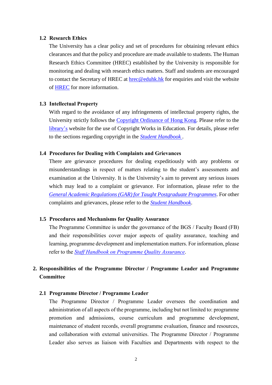#### <span id="page-4-0"></span>**1.2 Research Ethics**

The University has a clear policy and set of procedures for obtaining relevant ethics clearances and that the policy and procedure are made available to students. The Human Research Ethics Committee (HREC) established by the University is responsible for monitoring and dealing with research ethics matters. Staff and students are encouraged to contact the Secretary of HREC at [hrec@eduhk.hk](mailto:hrec@eduhk.hk) for enquiries and visit the website of [HREC](http://www.eduhk.hk/rdo/human.html) for more information.

#### <span id="page-4-1"></span>**1.3 Intellectual Property**

With regard to the avoidance of any infringements of intellectual property rights, the University strictly follows the [Copyright Ordinance of Hong Kong.](https://www.elegislation.gov.hk/hk/cap528) Please refer to the [library's](http://www.eduhk.hk/lib) website for the use of Copyright Works in Education. For details, please refer to the sections regarding copyright in the *[Student Handbook](http://www.eduhk.hk/reg/student_handbook/main.html)* .

# <span id="page-4-2"></span>**1.4 Procedures for Dealing with Complaints and Grievances**

There are grievance procedures for dealing expeditiously with any problems or misunderstandings in respect of matters relating to the student's assessments and examination at the University. It is the University's aim to prevent any serious issues which may lead to a complaint or grievance. For information, please refer to the *[General Academic Regulations \(GAR\) for Taught Postgraduate Programmes](https://www.eduhk.hk/gradsch/resource/regulation/GAR_taught.pdf)*. For other complaints and grievances, please refer to the *[Student Handbook](http://www.eduhk.hk/reg/student_handbook/main.html)*.

#### <span id="page-4-3"></span>**1.5 Procedures and Mechanisms for Quality Assurance**

The Programme Committee is under the governance of the BGS / Faculty Board (FB) and their responsibilities cover major aspects of quality assurance, teaching and learning, programme development and implementation matters. For information, please refer to the *[Staff Handbook on Programme Quality Assurance](https://www.eduhk.hk/re/modules/content/item.php?categoryid=43&itemid=119)*.

# **2. Responsibilities of the Programme Director / Programme Leader and Programme Committee**

# **2.1 Programme Director / Programme Leader**

The Programme Director / Programme Leader oversees the coordination and administration of all aspects of the programme, including but not limited to: programme promotion and admissions, course curriculum and programme development, maintenance of student records, overall programme evaluation, finance and resources, and collaboration with external universities. The Programme Director / Programme Leader also serves as liaison with Faculties and Departments with respect to the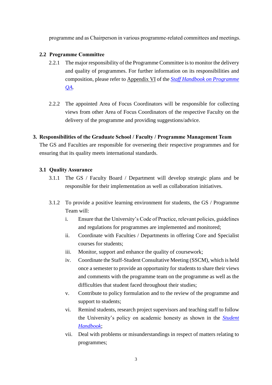programme and as Chairperson in various programme-related committees and meetings.

# **2.2 Programme Committee**

- 2.2.1 The major responsibility of the Programme Committee is to monitor the delivery and quality of programmes. For further information on its responsibilities and composition, please refer to Appendix VI of the *[Staff Handbook on Programme](https://www.eduhk.hk/re/modules/content/item.php?categoryid=43&itemid=119)  [QA.](https://www.eduhk.hk/re/modules/content/item.php?categoryid=43&itemid=119)*
- 2.2.2 The appointed Area of Focus Coordinators will be responsible for collecting views from other Area of Focus Coordinators of the respective Faculty on the delivery of the programme and providing suggestions/advice.

# **3. Responsibilities of the Graduate School / Faculty / Programme Management Team**

The GS and Faculties are responsible for overseeing their respective programmes and for ensuring that its quality meets international standards.

# <span id="page-5-0"></span>**3.1 Quality Assurance**

- 3.1.1 The GS / Faculty Board / Department will develop strategic plans and be responsible for their implementation as well as collaboration initiatives.
- 3.1.2 To provide a positive learning environment for students, the GS / Programme Team will:
	- i. Ensure that the University's Code of Practice, relevant policies, guidelines and regulations for programmes are implemented and monitored;
	- ii. Coordinate with Faculties / Departments in offering Core and Specialist courses for students;
	- iii. Monitor, support and enhance the quality of coursework;
	- iv. Coordinate the Staff-Student Consultative Meeting (SSCM), which is held once a semester to provide an opportunity for students to share their views and comments with the programme team on the programme as well as the difficulties that student faced throughout their studies;
	- v. Contribute to policy formulation and to the review of the programme and support to students;
	- vi. Remind students, research project supervisors and teaching staff to follow the University's policy on academic honesty as shown in the *[Student](http://www.eduhk.hk/reg/student_handbook/text_en8.html)  [Handbook](http://www.eduhk.hk/reg/student_handbook/text_en8.html)*;
	- vii. Deal with problems or misunderstandings in respect of matters relating to programmes;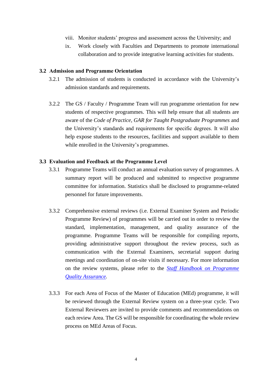- viii. Monitor students' progress and assessment across the University; and
- ix. Work closely with Faculties and Departments to promote international collaboration and to provide integrative learning activities for students.

#### <span id="page-6-0"></span>**3.2 Admission and Programme Orientation**

- 3.2.1 The admission of students is conducted in accordance with the University's admission standards and requirements.
- 3.2.2 The GS / Faculty / Programme Team will run programme orientation for new students of respective programmes. This will help ensure that all students are aware of the *Code of Practice*, *GAR for Taught Postgraduate Programmes* and the University's standards and requirements for specific degrees. It will also help expose students to the resources, facilities and support available to them while enrolled in the University's programmes.

#### <span id="page-6-1"></span>**3.3 Evaluation and Feedback at the Programme Level**

- 3.3.1 Programme Teams will conduct an annual evaluation survey of programmes. A summary report will be produced and submitted to respective programme committee for information. Statistics shall be disclosed to programme-related personnel for future improvements.
- 3.3.2 Comprehensive external reviews (i.e. External Examiner System and Periodic Programme Review) of programmes will be carried out in order to review the standard, implementation, management, and quality assurance of the programme. Programme Teams will be responsible for compiling reports, providing administrative support throughout the review process, such as communication with the External Examiners, secretarial support during meetings and coordination of on-site visits if necessary. For more information on the review systems, please refer to the *[Staff Handbook on Programme](https://www.eduhk.hk/re/modules/content/item.php?categoryid=43&itemid=119)  [Quality Assurance.](https://www.eduhk.hk/re/modules/content/item.php?categoryid=43&itemid=119)*
- 3.3.3 For each Area of Focus of the Master of Education (MEd) programme, it will be reviewed through the External Review system on a three-year cycle. Two External Reviewers are invited to provide comments and recommendations on each review Area. The GS will be responsible for coordinating the whole review process on MEd Areas of Focus.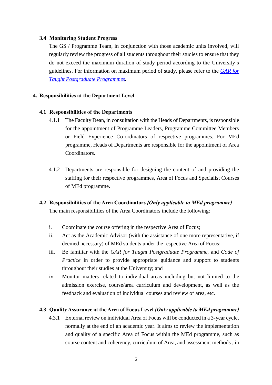# <span id="page-7-2"></span>**3.4 Monitoring Student Progress**

The GS / Programme Team, in conjunction with those academic units involved, will regularly review the progress of all students throughout their studies to ensure that they do not exceed the maximum duration of study period according to the University's guidelines. For information on maximum period of study, please refer to the *[GAR for](https://www.eduhk.hk/gradsch/resource/regulation/GAR_taught.pdf)  [Taught Postgraduate Programmes](https://www.eduhk.hk/gradsch/resource/regulation/GAR_taught.pdf)*.

# <span id="page-7-0"></span>**4. Responsibilities at the Department Level**

# **4.1 Responsibilities of the Departments**

- 4.1.1 The Faculty Dean, in consultation with the Heads of Departments, is responsible for the appointment of Programme Leaders, Programme Committee Members or Field Experience Co-ordinators of respective programmes. For MEd programme, Heads of Departments are responsible for the appointment of Area Coordinators.
- 4.1.2 Departments are responsible for designing the content of and providing the staffing for their respective programmes, Area of Focus and Specialist Courses of MEd programme.

# <span id="page-7-1"></span>**4.2 Responsibilities of the Area Coordinators** *[Only applicable to MEd programme]*

The main responsibilities of the Area Coordinators include the following:

- i. Coordinate the course offering in the respective Area of Focus;
- ii. Act as the Academic Advisor (with the assistance of one more representative, if deemed necessary) of MEd students under the respective Area of Focus;
- iii. Be familiar with the *GAR for Taught Postgraduate Programme*, and *Code of Practice* in order to provide appropriate guidance and support to students throughout their studies at the University; and
- iv. Monitor matters related to individual areas including but not limited to the admission exercise, course/area curriculum and development, as well as the feedback and evaluation of individual courses and review of area, etc.

# **4.3 Quality Assurance at the Area of Focus Level** *[Only applicable to MEd programme]*

4.3.1 External review on individual Area of Focus will be conducted in a 3-year cycle, normally at the end of an academic year. It aims to review the implementation and quality of a specific Area of Focus within the MEd programme, such as course content and coherency, curriculum of Area, and assessment methods , in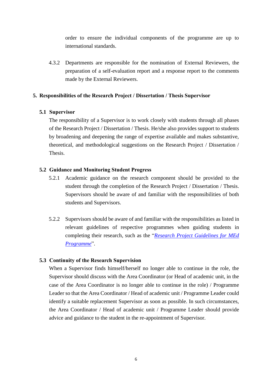order to ensure the individual components of the programme are up to international standards.

4.3.2 Departments are responsible for the nomination of External Reviewers, the preparation of a self-evaluation report and a response report to the comments made by the External Reviewers.

# <span id="page-8-0"></span>**5. Responsibilities of the Research Project / Dissertation / Thesis Supervisor**

# <span id="page-8-1"></span>**5.1 Supervisor**

The responsibility of a Supervisor is to work closely with students through all phases of the Research Project / Dissertation / Thesis. He/she also provides support to students by broadening and deepening the range of expertise available and makes substantive, theoretical, and methodological suggestions on the Research Project / Dissertation / Thesis.

# <span id="page-8-2"></span>**5.2 Guidance and Monitoring Student Progress**

- 5.2.1 Academic guidance on the research component should be provided to the student through the completion of the Research Project / Dissertation / Thesis. Supervisors should be aware of and familiar with the responsibilities of both students and Supervisors.
- 5.2.2 Supervisors should be aware of and familiar with the responsibilities as listed in relevant guidelines of respective programmes when guiding students in completing their research, such as the "*[Research Project Guidelines for MEd](https://www.eduhk.hk/gradsch/resource/Programme_Information/MEd/MEd_Research_Project_Guideline.pdf)  [Programme](https://www.eduhk.hk/gradsch/resource/Programme_Information/MEd/MEd_Research_Project_Guideline.pdf)*".

## <span id="page-8-3"></span>**5.3 Continuity of the Research Supervision**

When a Supervisor finds himself/herself no longer able to continue in the role, the Supervisor should discuss with the Area Coordinator (or Head of academic unit, in the case of the Area Coordinator is no longer able to continue in the role) / Programme Leader so that the Area Coordinator / Head of academic unit / Programme Leader could identify a suitable replacement Supervisor as soon as possible. In such circumstances, the Area Coordinator / Head of academic unit / Programme Leader should provide advice and guidance to the student in the re-appointment of Supervisor.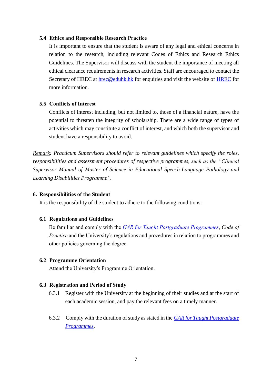#### <span id="page-9-0"></span>**5.4 Ethics and Responsible Research Practice**

It is important to ensure that the student is aware of any legal and ethical concerns in relation to the research, including relevant Codes of Ethics and Research Ethics Guidelines. The Supervisor will discuss with the student the importance of meeting all ethical clearance requirements in research activities. Staff are encouraged to contact the Secretary of HREC at [hrec@eduhk.hk](mailto:hrec@eduhk.hk) for enquiries and visit the website of [HREC](http://www.eduhk.hk/rdo/human.html) for more information.

# <span id="page-9-1"></span>**5.5 Conflicts of Interest**

Conflicts of interest including, but not limited to, those of a financial nature, have the potential to threaten the integrity of scholarship. There are a wide range of types of activities which may constitute a conflict of interest, and which both the supervisor and student have a responsibility to avoid.

*Remark: Practicum Supervisors should refer to relevant guidelines which specify the roles, responsibilities and assessment procedures of respective programmes, such as the "Clinical Supervisor Manual of Master of Science in Educational Speech-Language Pathology and Learning Disabilities Programme".*

#### <span id="page-9-2"></span>**6. Responsibilities of the Student**

It is the responsibility of the student to adhere to the following conditions:

## <span id="page-9-3"></span>**6.1 Regulations and Guidelines**

Be familiar and comply with the *[GAR for Taught Postgraduate Programmes](https://www.eduhk.hk/gradsch/resource/regulation/GAR_taught.pdf)*, *Code of Practice* and the University's regulations and procedures in relation to programmes and other policies governing the degree.

#### **6.2 Programme Orientation**

Attend the University's Programme Orientation.

## <span id="page-9-4"></span>**6.3 Registration and Period of Study**

- 6.3.1 Register with the University at the beginning of their studies and at the start of each academic session, and pay the relevant fees on a timely manner.
- 6.3.2 Comply with the duration of study as stated in the *[GAR for Taught Postgraduate](https://www.eduhk.hk/gradsch/resource/regulation/GAR_taught.pdf)  [Programmes](https://www.eduhk.hk/gradsch/resource/regulation/GAR_taught.pdf)*.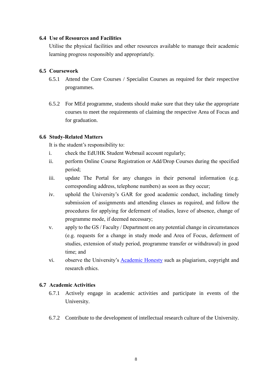# <span id="page-10-0"></span>**6.4 Use of Resources and Facilities**

Utilise the physical facilities and other resources available to manage their academic learning progress responsibly and appropriately.

# **6.5 Coursework**

- 6.5.1 Attend the Core Courses / Specialist Courses as required for their respective programmes.
- 6.5.2 For MEd programme, students should make sure that they take the appropriate courses to meet the requirements of claiming the respective Area of Focus and for graduation.

# **6.6 Study-Related Matters**

It is the student's responsibility to:

- i. check the EdUHK Student Webmail account regularly;
- ii. perform Online Course Registration or Add/Drop Courses during the specified period;
- iii. update The Portal for any changes in their personal information (e.g. corresponding address, telephone numbers) as soon as they occur;
- iv. uphold the University's GAR for good academic conduct, including timely submission of assignments and attending classes as required, and follow the procedures for applying for deferment of studies, leave of absence, change of programme mode, if deemed necessary;
- v. apply to the GS / Faculty / Department on any potential change in circumstances (e.g. requests for a change in study mode and Area of Focus, deferment of studies, extension of study period, programme transfer or withdrawal) in good time; and
- vi. observe the University's [Academic Honesty](http://www.eduhk.hk/reg/student_handbook/text_en8.html) such as plagiarism, copyright and research ethics.

# <span id="page-10-1"></span>**6.7 Academic Activities**

- 6.7.1 Actively engage in academic activities and participate in events of the University.
- 6.7.2 Contribute to the development of intellectual research culture of the University.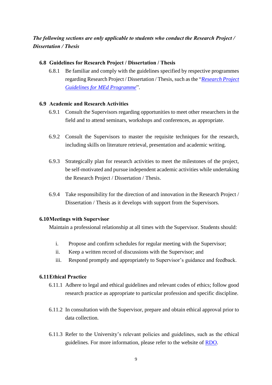*The following sections are only applicable to students who conduct the Research Project / Dissertation / Thesis*

# **6.8 Guidelines for Research Project / Dissertation / Thesis**

6.8.1 Be familiar and comply with the guidelines specified by respective programmes regarding Research Project / Dissertation / Thesis, such as the "*[Research Project](https://www.eduhk.hk/gradsch/resource/Programme_Information/MEd/MEd_Research_Project_Guideline.pdf)  [Guidelines for MEd Programme](https://www.eduhk.hk/gradsch/resource/Programme_Information/MEd/MEd_Research_Project_Guideline.pdf)*".

# **6.9 Academic and Research Activities**

- 6.9.1 Consult the Supervisors regarding opportunities to meet other researchers in the field and to attend seminars, workshops and conferences, as appropriate.
- 6.9.2 Consult the Supervisors to master the requisite techniques for the research, including skills on literature retrieval, presentation and academic writing.
- 6.9.3 Strategically plan for research activities to meet the milestones of the project, be self-motivated and pursue independent academic activities while undertaking the Research Project / Dissertation / Thesis.
- 6.9.4 Take responsibility for the direction of and innovation in the Research Project / Dissertation / Thesis as it develops with support from the Supervisors.

## <span id="page-11-0"></span>**6.10Meetings with Supervisor**

Maintain a professional relationship at all times with the Supervisor. Students should:

- i. Propose and confirm schedules for regular meeting with the Supervisor;
- ii. Keep a written record of discussions with the Supervisor; and
- iii. Respond promptly and appropriately to Supervisor's guidance and feedback.

## <span id="page-11-1"></span>**6.11Ethical Practice**

- 6.11.1 Adhere to legal and ethical guidelines and relevant codes of ethics; follow good research practice as appropriate to particular profession and specific discipline.
- 6.11.2 In consultation with the Supervisor, prepare and obtain ethical approval prior to data collection.
- 6.11.3 Refer to the University's relevant policies and guidelines, such as the ethical guidelines. For more information, please refer to the website of [RDO.](http://www.eduhk.hk/rdo/human.html)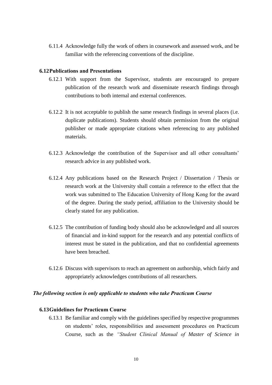6.11.4 Acknowledge fully the work of others in coursework and assessed work, and be familiar with the referencing conventions of the discipline.

#### <span id="page-12-0"></span>**6.12Publications and Presentations**

- 6.12.1 With support from the Supervisor, students are encouraged to prepare publication of the research work and disseminate research findings through contributions to both internal and external conferences.
- 6.12.2 It is not acceptable to publish the same research findings in several places (i.e. duplicate publications). Students should obtain permission from the original publisher or made appropriate citations when referencing to any published materials.
- 6.12.3 Acknowledge the contribution of the Supervisor and all other consultants' research advice in any published work.
- 6.12.4 Any publications based on the Research Project / Dissertation / Thesis or research work at the University shall contain a reference to the effect that the work was submitted to The Education University of Hong Kong for the award of the degree. During the study period, affiliation to the University should be clearly stated for any publication.
- 6.12.5 The contribution of funding body should also be acknowledged and all sources of financial and in-kind support for the research and any potential conflicts of interest must be stated in the publication, and that no confidential agreements have been breached.
- 6.12.6 Discuss with supervisors to reach an agreement on authorship, which fairly and appropriately acknowledges contributions of all researchers.

#### *The following section is only applicable to students who take Practicum Course*

# **6.13Guidelines for Practicum Course**

6.13.1 Be familiar and comply with the guidelines specified by respective programmes on students' roles, responsibilities and assessment procedures on Practicum Course, such as the *"Student Clinical Manual of Master of Science in*